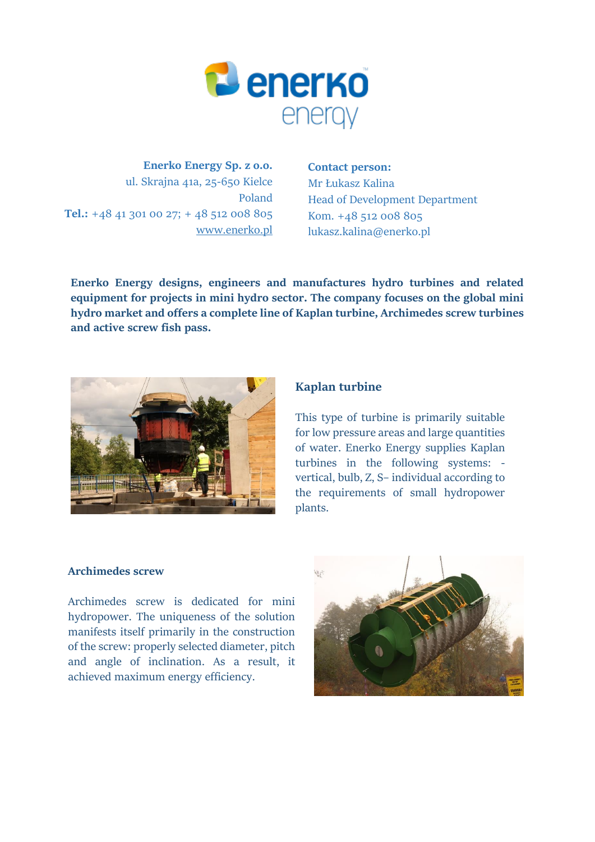

**Enerko Energy Sp. z o.o.** ul. Skrajna 41a, 25-650 Kielce Poland **Tel.:** +48 41 301 00 27; + 48 512 008 805 [www.enerko.pl](http://www.enerko.pl/)

### **Contact person:**

Mr Łukasz Kalina Head of Development Department Kom. +48 512 008 805 lukasz.kalina@enerko.pl

**Enerko Energy designs, engineers and manufactures hydro turbines and related equipment for projects in mini hydro sector. The company focuses on the global mini hydro market and offers a complete line of Kaplan turbine, Archimedes screw turbines and active screw fish pass.**



# **[Kaplan turbine](https://enerko.pl/en/turbina-kaplana-2/)**

This type of turbine is primarily suitable for low pressure areas and large quantities of water. Enerko Energy supplies Kaplan turbines in the following systems: vertical, bulb, Z, S– individual according to the requirements of small hydropower plants.

### **Archimedes screw**

Archimedes screw is dedicated for mini hydropower. The uniqueness of the solution manifests itself primarily in the construction of the screw: properly selected diameter, pitch and angle of inclination. As a result, it achieved maximum energy efficiency.